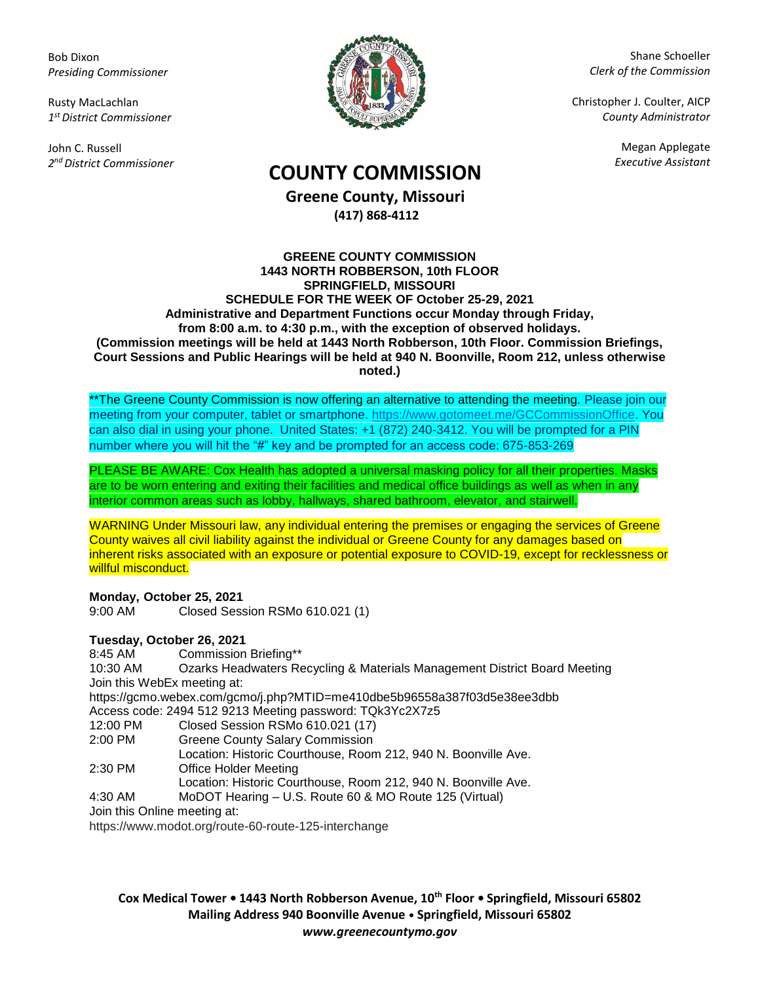Bob Dixon *Presiding Commissioner*

Rusty MacLachlan *1 st District Commissioner*

John C. Russell *2 nd District Commissioner*



Shane Schoeller *Clerk of the Commission*

Christopher J. Coulter, AICP *County Administrator*

Megan Applegate

# *Executive Assistant* **COUNTY COMMISSION**

**Greene County, Missouri (417) 868-4112**

### **GREENE COUNTY COMMISSION 1443 NORTH ROBBERSON, 10th FLOOR SPRINGFIELD, MISSOURI SCHEDULE FOR THE WEEK OF October 25-29, 2021 Administrative and Department Functions occur Monday through Friday, from 8:00 a.m. to 4:30 p.m., with the exception of observed holidays. (Commission meetings will be held at 1443 North Robberson, 10th Floor. Commission Briefings, Court Sessions and Public Hearings will be held at 940 N. Boonville, Room 212, unless otherwise noted.)**

\*\*The Greene County Commission is now offering an alternative to attending the meeting. Please join our meeting from your computer, tablet or smartphone. [https://www.gotomeet.me/GCCommissionOffice.](https://www.gotomeet.me/GCCommissionOffice) You can also dial in using your phone. United States: +1 (872) 240-3412. You will be prompted for a PIN number where you will hit the "#" key and be prompted for an access code: 675-853-269

PLEASE BE AWARE: Cox Health has adopted a universal masking policy for all their properties. Masks are to be worn entering and exiting their facilities and medical office buildings as well as when in any interior common areas such as lobby, hallways, shared bathroom, elevator, and stairwell.

WARNING Under Missouri law, any individual entering the premises or engaging the services of Greene County waives all civil liability against the individual or Greene County for any damages based on inherent risks associated with an exposure or potential exposure to COVID-19, except for recklessness or willful misconduct.

**Monday, October 25, 2021** 9:00 AM Closed Session RSMo 610.021 (1)

**Tuesday, October 26, 2021**

8:45 AM Commission Briefing\*\* 10:30 AM Ozarks Headwaters Recycling & Materials Management District Board Meeting Join this WebEx meeting at: https://gcmo.webex.com/gcmo/j.php?MTID=me410dbe5b96558a387f03d5e38ee3dbb Access code: 2494 512 9213 Meeting password: TQk3Yc2X7z5 12:00 PM Closed Session RSMo 610.021 (17)<br>2:00 PM Greene County Salary Commission Greene County Salary Commission Location: Historic Courthouse, Room 212, 940 N. Boonville Ave. 2:30 PM Office Holder Meeting Location: Historic Courthouse, Room 212, 940 N. Boonville Ave. 4:30 AM MoDOT Hearing – U.S. Route 60 & MO Route 125 (Virtual) Join this Online meeting at:

https://www.modot.org/route-60-route-125-interchange

**Cox Medical Tower • 1443 North Robberson Avenue, 10th Floor • Springfield, Missouri 65802 Mailing Address 940 Boonville Avenue • Springfield, Missouri 65802** *www.greenecountymo.gov*